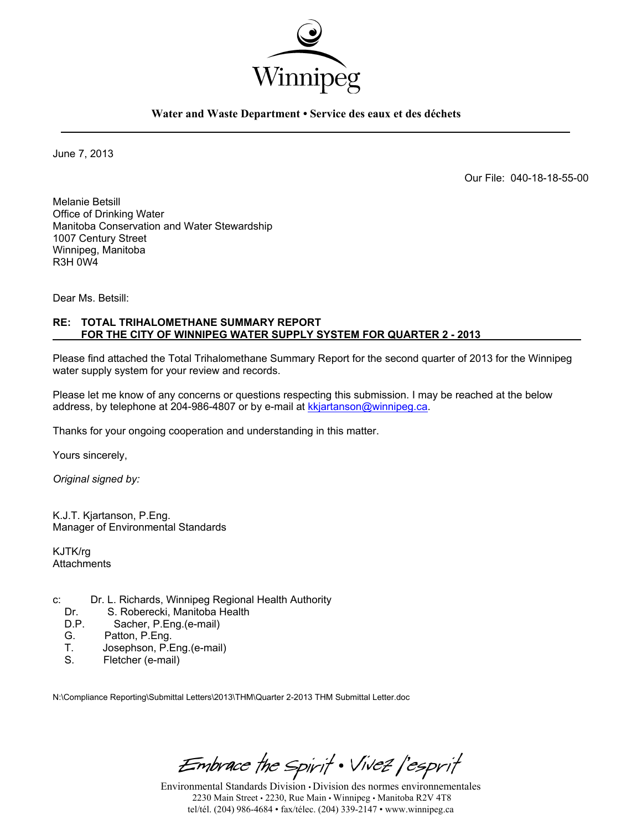

**Water and Waste Department • Service des eaux et des déchets** 

June 7, 2013

Our File: 040-18-18-55-00

Melanie Betsill Office of Drinking Water Manitoba Conservation and Water Stewardship 1007 Century Street Winnipeg, Manitoba R3H 0W4

Dear Ms. Betsill:

#### **RE: TOTAL TRIHALOMETHANE SUMMARY REPORT FOR THE CITY OF WINNIPEG WATER SUPPLY SYSTEM FOR QUARTER 2 - 2013**

Please find attached the Total Trihalomethane Summary Report for the second quarter of 2013 for the Winnipeg water supply system for your review and records.

Please let me know of any concerns or questions respecting this submission. I may be reached at the below address, by telephone at 204-986-4807 or by e-mail at kkjartanson@winnipeg.ca.

Thanks for your ongoing cooperation and understanding in this matter.

Yours sincerely,

*Original signed by:* 

K.J.T. Kjartanson, P.Eng. Manager of Environmental Standards

KJTK/rg **Attachments** 

- c: Dr. L. Richards, Winnipeg Regional Health Authority
	- Dr. S. Roberecki, Manitoba Health<br>D.P. Sacher. P. Eng. (e-mail)
	- Sacher, P.Eng.(e-mail)
	- G. Patton, P.Eng.<br>T. Josephson, P.F.
	- T. Josephson, P.Eng.(e-mail)<br>S. Fletcher (e-mail)
	- Fletcher (e-mail)

N:\Compliance Reporting\Submittal Letters\2013\THM\Quarter 2-2013 THM Submittal Letter.doc

Embrace the Spirit . Vivez l'esprit

Environmental Standards Division • Division des normes environnementales 2230 Main Street • 2230, Rue Main • Winnipeg • Manitoba R2V 4T8 tel/tél. (204) 986-4684 • fax/télec. (204) 339-2147 • www.winnipeg.ca